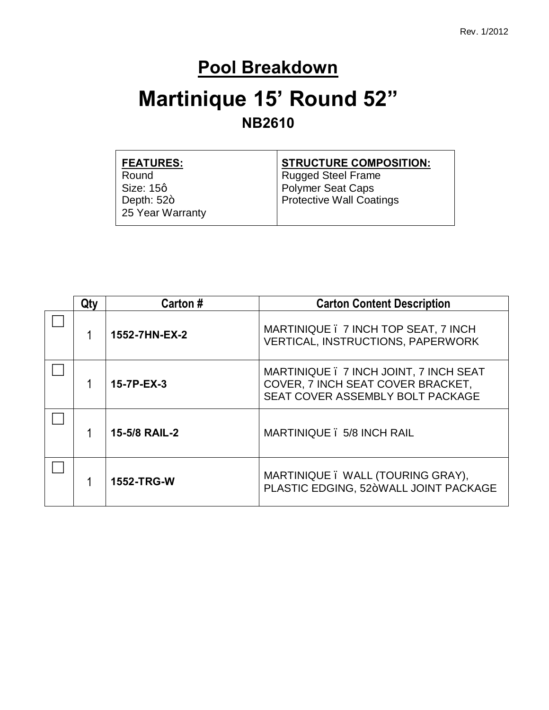## **Pool Breakdown**

# **Martinique 15' Round 52" NB2610**

| <b>FEATURES:</b> | <b>STRUCTURE COMPOSITION:</b>   |
|------------------|---------------------------------|
| Round            | Rugged Steel Frame              |
| Size: 15q        | Polymer Seat Caps               |
| Depth: $52+$     | <b>Protective Wall Coatings</b> |
| 25 Year Warranty |                                 |
|                  |                                 |

| Qtv | Carton#           | <b>Carton Content Description</b>                                                                               |
|-----|-------------------|-----------------------------------------------------------------------------------------------------------------|
|     | 1552-7HN-EX-2     | MARTINIQUE . 7 INCH TOP SEAT, 7 INCH<br><b>VERTICAL, INSTRUCTIONS, PAPERWORK</b>                                |
|     | 15-7P-EX-3        | MARTINIQUE . 7 INCH JOINT, 7 INCH SEAT<br>COVER, 7 INCH SEAT COVER BRACKET,<br>SEAT COVER ASSEMBLY BOLT PACKAGE |
|     | 15-5/8 RAIL-2     | MARTINIQUE . 5/8 INCH RAIL                                                                                      |
|     | <b>1552-TRG-W</b> | MARTINIQUE. WALL (TOURING GRAY),<br>PLASTIC EDGING, 52+WALL JOINT PACKAGE                                       |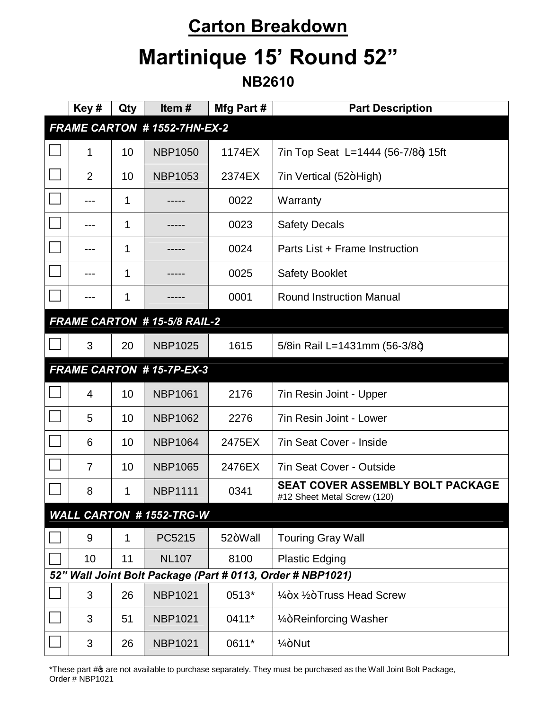### **Carton Breakdown**

# **Martinique 15' Round 52"**

#### **NB2610**

| Key#                                                       | Qty | Item#                               | Mfg Part # | <b>Part Description</b>                                         |  |  |
|------------------------------------------------------------|-----|-------------------------------------|------------|-----------------------------------------------------------------|--|--|
| <b>FRAME CARTON # 1552-7HN-EX-2</b>                        |     |                                     |            |                                                                 |  |  |
| 1                                                          | 10  | <b>NBP1050</b>                      | 1174EX     | 7in Top Seat L=1444 (56-7/8+) 15ft                              |  |  |
| $\overline{2}$                                             | 10  | <b>NBP1053</b>                      | 2374EX     | 7in Vertical (52+High)                                          |  |  |
|                                                            | 1   |                                     | 0022       | Warranty                                                        |  |  |
|                                                            | 1   |                                     | 0023       | <b>Safety Decals</b>                                            |  |  |
| ---                                                        | 1   |                                     | 0024       | Parts List + Frame Instruction                                  |  |  |
|                                                            | 1   |                                     | 0025       | <b>Safety Booklet</b>                                           |  |  |
|                                                            | 1   |                                     | 0001       | <b>Round Instruction Manual</b>                                 |  |  |
|                                                            |     | <b>FRAME CARTON # 15-5/8 RAIL-2</b> |            |                                                                 |  |  |
| 3                                                          | 20  | <b>NBP1025</b>                      | 1615       | 5/8in Rail L=1431mm (56-3/8+)                                   |  |  |
|                                                            |     | <b>FRAME CARTON #15-7P-EX-3</b>     |            |                                                                 |  |  |
| $\overline{4}$                                             | 10  | <b>NBP1061</b>                      | 2176       | 7in Resin Joint - Upper                                         |  |  |
| 5                                                          | 10  | <b>NBP1062</b>                      | 2276       | 7in Resin Joint - Lower                                         |  |  |
| 6                                                          | 10  | <b>NBP1064</b>                      | 2475EX     | 7in Seat Cover - Inside                                         |  |  |
| $\overline{7}$                                             | 10  | <b>NBP1065</b>                      | 2476EX     | <b>7in Seat Cover - Outside</b>                                 |  |  |
| 8                                                          | 1   | <b>NBP1111</b>                      | 0341       | SEAT COVER ASSEMBLY BOLT PACKAGE<br>#12 Sheet Metal Screw (120) |  |  |
| <b>WALL CARTON #1552-TRG-W</b>                             |     |                                     |            |                                                                 |  |  |
| $9\,$                                                      | 1   | PC5215                              | 52+Wall    | <b>Touring Gray Wall</b>                                        |  |  |
| 10                                                         | 11  | <b>NL107</b>                        | 8100       | <b>Plastic Edging</b>                                           |  |  |
| 52" Wall Joint Bolt Package (Part # 0113, Order # NBP1021) |     |                                     |            |                                                                 |  |  |
| 3                                                          | 26  | <b>NBP1021</b>                      | 0513*      | 1/ <sub>4</sub> +x 1/ <sub>2</sub> +Truss Head Screw            |  |  |
| 3                                                          | 51  | <b>NBP1021</b>                      | 0411*      | 1/ <sub>4</sub> +Reinforcing Washer                             |  |  |
| 3                                                          | 26  | <b>NBP1021</b>                      | 0611*      | $1/4 + N$ ut                                                    |  |  |

\*These part # of are not available to purchase separately. They must be purchased as the Wall Joint Bolt Package, Order # NBP1021